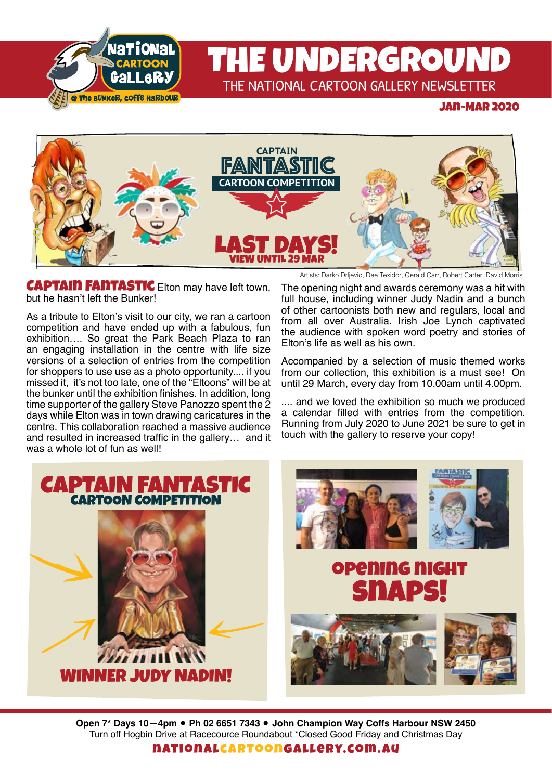

THE UNDERGROUND THE NATIONAL CARTOON GALLERY NEWSLETTER

jan-MAr 2020



**CAPTAIN FANTASTIC** Elton may have left town, but he hasn't left the Bunker!

As a tribute to Elton's visit to our city, we ran a cartoon competition and have ended up with a fabulous, fun exhibition.... So great the Park Beach Plaza to ran an engaging installation in the centre with life size versions of a selection of entries from the competition for shoppers to use use as a photo opportunity.... if you missed it, it's not too late, one of the "Eltoons" will be at the bunker until the exhibition finishes. In addition, long time supporter of the gallery Steve Panozzo spent the 2 days while Elton was in town drawing caricatures in the centre. This collaboration reached a massive audience and resulted in increased traffic in the gallery… and it was a whole lot of fun as well!

Artists: Darko Drljevic, Dee Texidor, Gerald Carr, Robert Carter, David Mor

The opening night and awards ceremony was a hit with full house, including winner Judy Nadin and a bunch of other cartoonists both new and regulars, local and from all over Australia. Irish Joe Lynch captivated the audience with spoken word poetry and stories of Elton's life as well as his own.

Accompanied by a selection of music themed works from our collection, this exhibition is a must see! On until 29 March, every day from 10.00am until 4.00pm.

.... and we loved the exhibition so much we produced a calendar filled with entries from the competition. Running from July 2020 to June 2021 be sure to get in touch with the gallery to reserve your copy!





**Open 7\* Days 10—4pm • Ph 02 6651 7343 • John Champion Way Coffs Harbour NSW 2450** Turn off Hogbin Drive at Racecource Roundabout \*Closed Good Friday and Christmas Day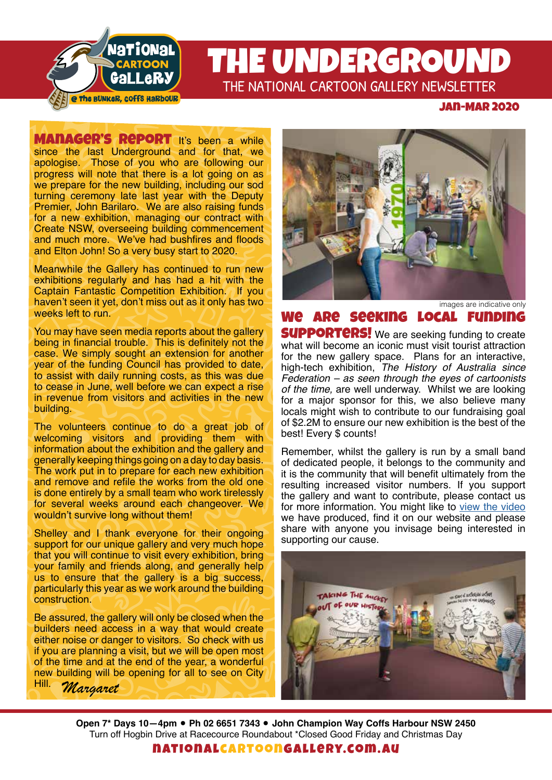THE UNDERGROUND THE UNDERGROUND THE NATIONAL CARTOON GALLERY NEWSLETTER THE NATIONAL CARTOON GALLERY NEWSLETTER

jan-MAr 2020

MANAGER'S REPORT It's been a while since the last Underground and for that, we apologise. Those of you who are following our progress will note that there is a lot going on as we prepare for the new building, including our sod turning ceremony late last year with the Deputy Premier, John Barilaro. We are also raising funds for a new exhibition, managing our contract with Create NSW, overseeing building commencement and much more. We've had bushfires and floods and Elton John! So a very busy start to 2020.

@ The BUNKeR, COffS HaRbOUR

Meanwhile the Gallery has continued to run new exhibitions regularly and has had a hit with the Captain Fantastic Competition Exhibition. If you haven't seen it yet, don't miss out as it only has two weeks left to run.

You may have seen media reports about the gallery being in financial trouble. This is definitely not the case. We simply sought an extension for another year of the funding Council has provided to date, to assist with daily running costs, as this was due to cease in June, well before we can expect a rise in revenue from visitors and activities in the new building.

The volunteers continue to do a great job of welcoming visitors and providing them with information about the exhibition and the gallery and generally keeping things going on a day to day basis. The work put in to prepare for each new exhibition and remove and refile the works from the old one is done entirely by a small team who work tirelessly for several weeks around each changeover. We wouldn't survive long without them!

Shelley and I thank everyone for their ongoing support for our unique gallery and very much hope that you will continue to visit every exhibition, bring your family and friends along, and generally help us to ensure that the gallery is a big success, particularly this year as we work around the building construction.

Be assured, the gallery will only be closed when the builders need access in a way that would create either noise or danger to visitors. So check with us if you are planning a visit, but we will be open most of the time and at the end of the year, a wonderful new building will be opening for all to see on City<br>Hill. **Management** Hill. *Margaret*



images are indicative only

We are seeking local funding **SUPPORTERS!** We are seeking funding to create what will become an iconic must visit tourist attraction for the new gallery space. Plans for an interactive, high-tech exhibition, *The History of Australia since Federation – as seen through the eyes of cartoonists of the time,* are well underway. Whilst we are looking for a major sponsor for this, we also believe many locals might wish to contribute to our fundraising goal of \$2.2M to ensure our new exhibition is the best of the best! Every \$ counts!

Remember, whilst the gallery is run by a small band of dedicated people, it belongs to the community and it is the community that will benefit ultimately from the resulting increased visitor numbers. If you support the gallery and want to contribute, please contact us for more information. You might like to [view the video](https://youtu.be/HZ4iZwqG51I)  we have produced, find it on our website and please share with anyone you invisage being interested in supporting our cause.



**Open 7\* Days 10—4pm • Ph 02 6651 7343 • John Champion Way Coffs Harbour NSW 2450** Turn off Hogbin Drive at Racecource Roundabout \*Closed Good Friday and Christmas Day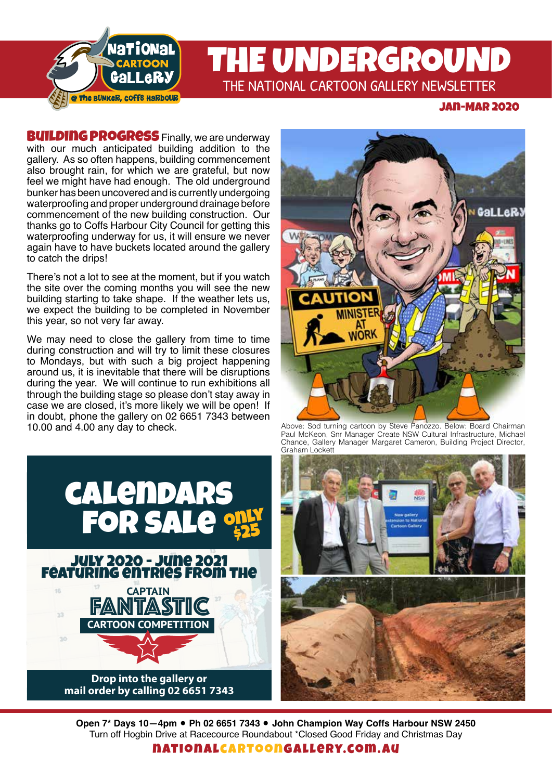

## THE UNDERGROUND THE NATIONAL CARTOON GALLERY NEWSLETTER

jan-MAr 2020

**BUILDING PROGRESS** Finally, we are underway with our much anticipated building addition to the gallery. As so often happens, building commencement also brought rain, for which we are grateful, but now feel we might have had enough. The old underground bunker has been uncovered and is currently undergoing waterproofing and proper underground drainage before commencement of the new building construction. Our thanks go to Coffs Harbour City Council for getting this waterproofing underway for us, it will ensure we never again have to have buckets located around the gallery to catch the drips!

There's not a lot to see at the moment, but if you watch the site over the coming months you will see the new building starting to take shape. If the weather lets us, we expect the building to be completed in November this year, so not very far away.

We may need to close the gallery from time to time during construction and will try to limit these closures to Mondays, but with such a big project happening around us, it is inevitable that there will be disruptions during the year. We will continue to run exhibitions all through the building stage so please don't stay away in case we are closed, it's more likely we will be open! If in doubt, phone the gallery on 02 6651 7343 between 10.00 and 4.00 any day to check.



**mail order by calling 02 6651 7343**



Above: Sod turning cartoon by Steve Panozzo. Below: Board Chairman Paul McKeon, Snr Manager Create NSW Cultural Infrastructure, Michael Chance, Gallery Manager Margaret Cameron, Building Project Director, Graham Lockett



**Open 7\* Days 10—4pm • Ph 02 6651 7343 • John Champion Way Coffs Harbour NSW 2450** Turn off Hogbin Drive at Racecource Roundabout \*Closed Good Friday and Christmas Day